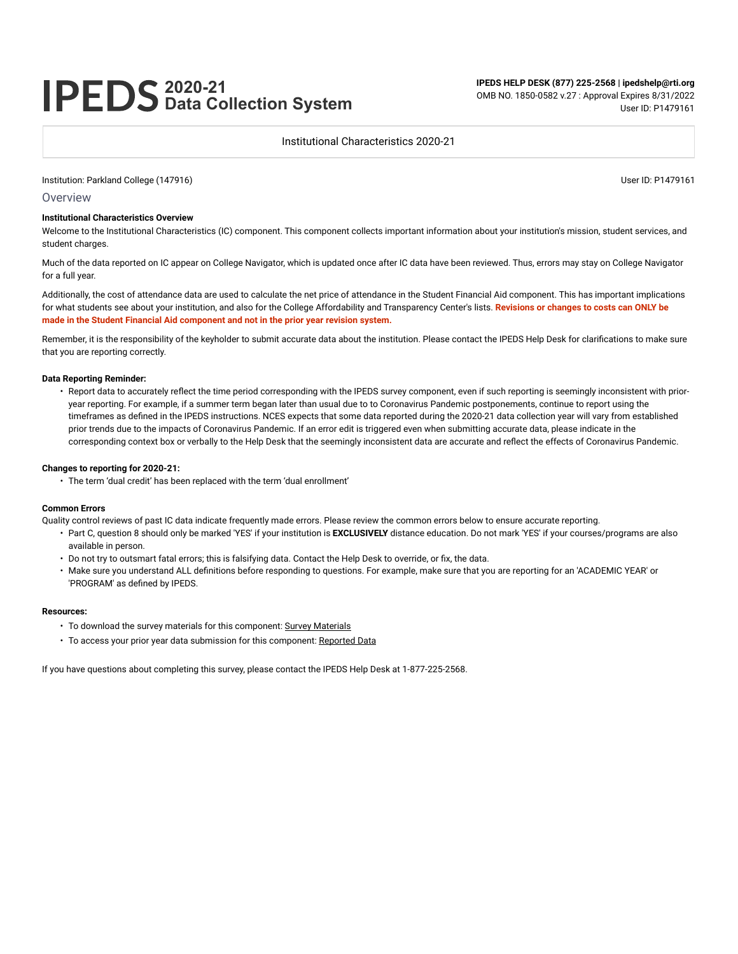# **2020-21 Data Collection System**

**IPEDS HELP DESK (877) 225-2568 | ipedshelp@rti.org** OMB NO. 1850-0582 v.27 : Approval Expires 8/31/2022 User ID: P1479161

#### Institutional Characteristics 2020-21

Institution: Parkland College (147916) User ID: P1479161

Overview

#### **Institutional Characteristics Overview**

Welcome to the Institutional Characteristics (IC) component. This component collects important information about your institution's mission, student services, and student charges.

Much of the data reported on IC appear on College Navigator, which is updated once after IC data have been reviewed. Thus, errors may stay on College Navigator for a full year.

Additionally, the cost of attendance data are used to calculate the net price of attendance in the Student Financial Aid component. This has important implications for what students see about your institution, and also for the College Affordability and Transparency Center's lists. **Revisions or changes to costs can ONLY be made in the Student Financial Aid component and not in the prior year revision system.**

Remember, it is the responsibility of the keyholder to submit accurate data about the institution. Please contact the IPEDS Help Desk for clarifications to make sure that you are reporting correctly.

#### **Data Reporting Reminder:**

• Report data to accurately reflect the time period corresponding with the IPEDS survey component, even if such reporting is seemingly inconsistent with prioryear reporting. For example, if a summer term began later than usual due to to Coronavirus Pandemic postponements, continue to report using the timeframes as defined in the IPEDS instructions. NCES expects that some data reported during the 2020-21 data collection year will vary from established prior trends due to the impacts of Coronavirus Pandemic. If an error edit is triggered even when submitting accurate data, please indicate in the corresponding context box or verbally to the Help Desk that the seemingly inconsistent data are accurate and reflect the effects of Coronavirus Pandemic.

#### **Changes to reporting for 2020-21:**

• The term 'dual credit' has been replaced with the term 'dual enrollment'

#### **Common Errors**

Quality control reviews of past IC data indicate frequently made errors. Please review the common errors below to ensure accurate reporting.

- Part C, question 8 should only be marked 'YES' if your institution is **EXCLUSIVELY** distance education. Do not mark 'YES' if your courses/programs are also available in person.
- Do not try to outsmart fatal errors; this is falsifying data. Contact the Help Desk to override, or fix, the data.
- Make sure you understand ALL definitions before responding to questions. For example, make sure that you are reporting for an 'ACADEMIC YEAR' or 'PROGRAM' as defined by IPEDS.

#### **Resources:**

- To download the survey materials for this component: Survey Materials
- To access your prior year data submission for this component: Reported Data

If you have questions about completing this survey, please contact the IPEDS Help Desk at 1-877-225-2568.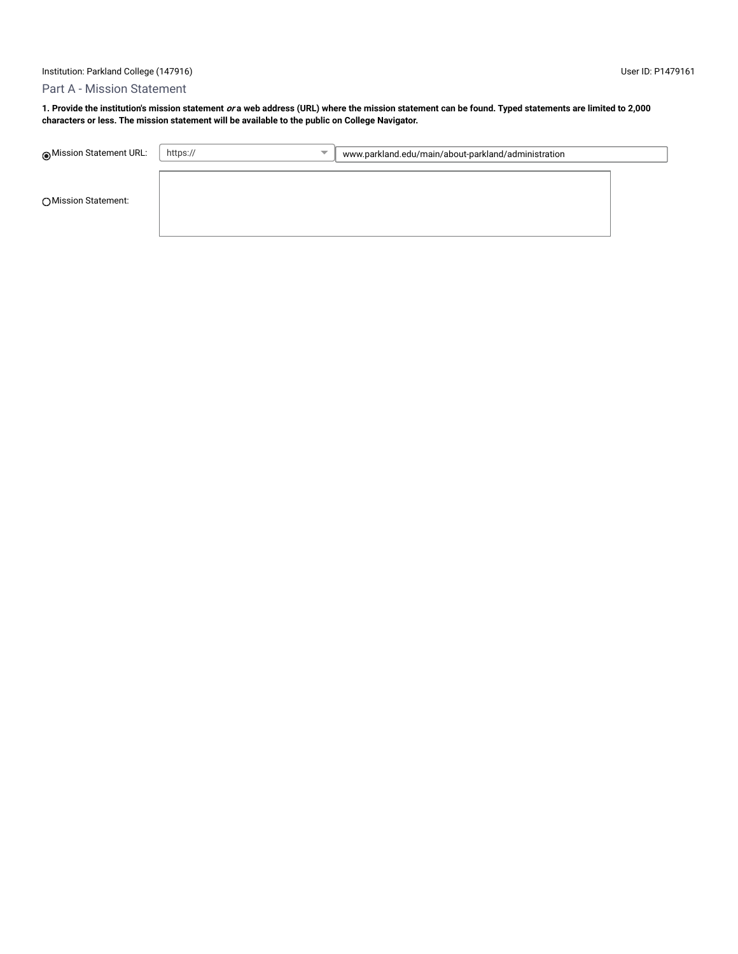## Part A - Mission Statement

**1. Provide the institution's mission statement or a web address (URL) where the mission statement can be found. Typed statements are limited to 2,000 characters or less. The mission statement will be available to the public on College Navigator.**

| ◉ Mission Statement URL: | https://<br>$\overline{\phantom{a}}$ | www.parkland.edu/main/about-parkland/administration |  |
|--------------------------|--------------------------------------|-----------------------------------------------------|--|
| ◯ Mission Statement:     |                                      |                                                     |  |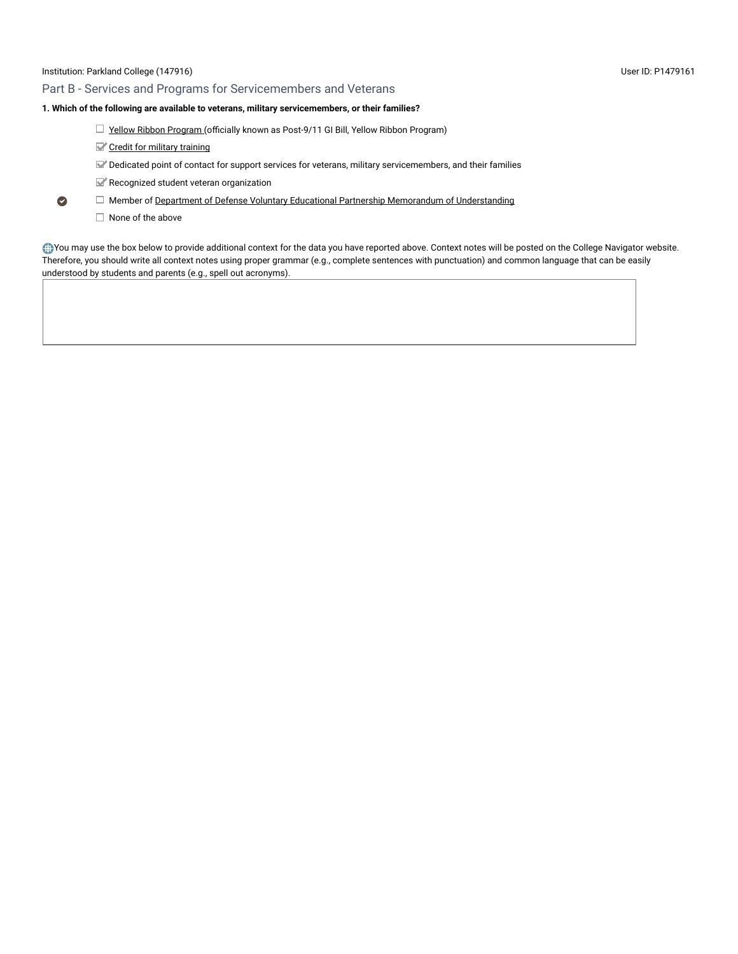## Part B - Services and Programs for Servicemembers and Veterans

#### **1. Which of the following are available to veterans, military servicemembers, or their families?**

- $\Box$  Yellow Ribbon Program (officially known as Post-9/11 GI Bill, Yellow Ribbon Program)
- Credit for military training
- $\nabla$  Dedicated point of contact for support services for veterans, military servicemembers, and their families
- Recognized student veteran organization
- $\Box$  Member of Department of Defense Voluntary Educational Partnership Memorandum of Understanding  $\bullet$ 
	- $\Box$  None of the above

You may use the box below to provide additional context for the data you have reported above. Context notes will be posted on the College Navigator website. Therefore, you should write all context notes using proper grammar (e.g., complete sentences with punctuation) and common language that can be easily understood by students and parents (e.g., spell out acronyms).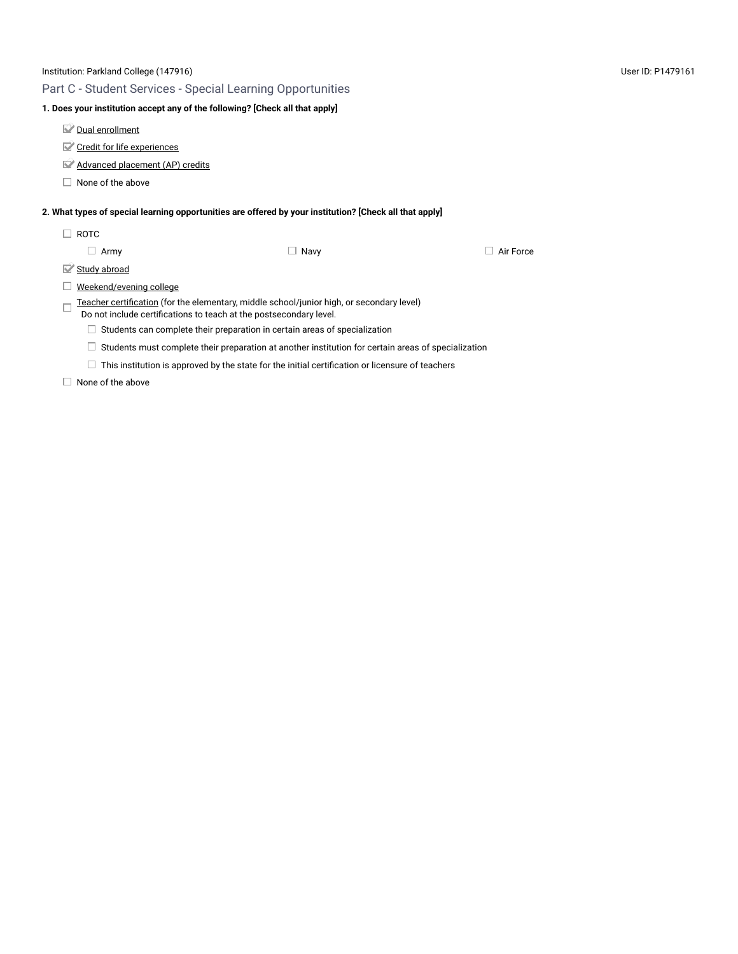## Part C - Student Services - Special Learning Opportunities

#### **1. Does your institution accept any of the following? [Check all that apply]**

Dual enrollment

- Credit for life experiences
- Advanced placement (AP) credits
- $\Box$  None of the above

### **2. What types of special learning opportunities are offered by your institution? [Check all that apply]**

 $\Box$  ROTC

 $\Box$  Navy  $\Box$   $\Box$  Navy  $\Box$  Air Force

Study abroad

 $\Box$  Weekend/evening college

 $\Box$  Teacher certification (for the elementary, middle school/junior high, or secondary level) Do not include certifications to teach at the postsecondary level.

- $\Box$  Students can complete their preparation in certain areas of specialization
- $\Box$  Students must complete their preparation at another institution for certain areas of specialization
- $\Box$  This institution is approved by the state for the initial certification or licensure of teachers

 $\Box$  None of the above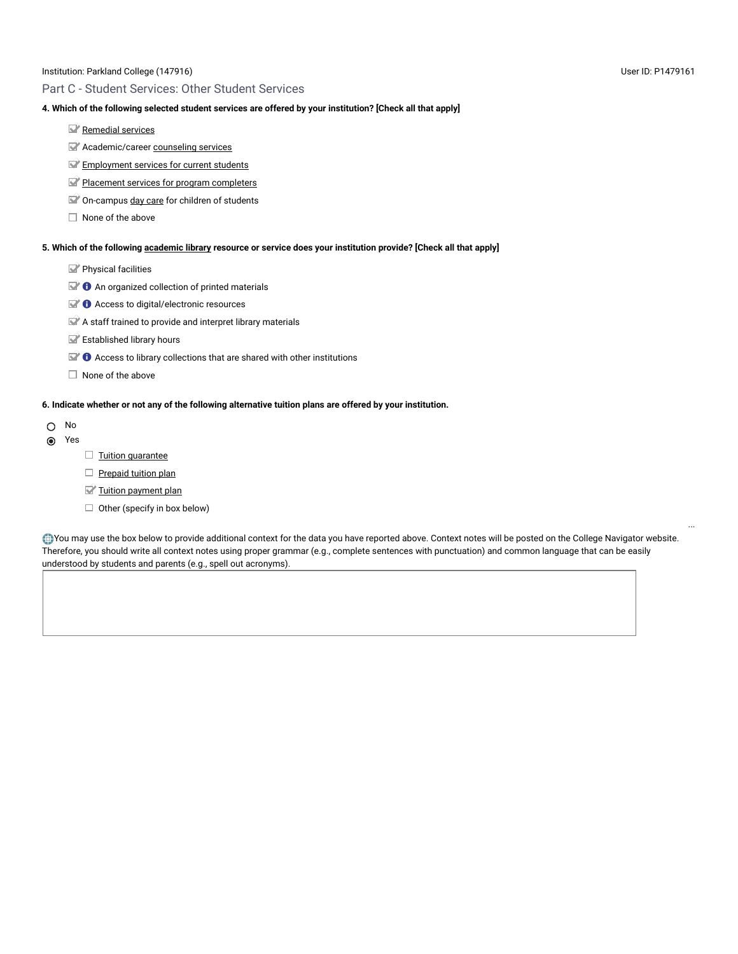## Part C - Student Services: Other Student Services

#### **4. Which of the following selected student services are offered by your institution? [Check all that apply]**

- Remedial services
- **Academic/career counseling services**
- Employment services for current students
- Placement services for program completers
- On-campus day care for children of students
- $\Box$  None of the above

#### **5. Which of the following academic library resource or service does your institution provide? [Check all that apply]**

- $\mathbb{F}$  Physical facilities
- $\blacksquare$  **O** An organized collection of printed materials
- $\blacktriangleright$   $\blacklozenge$  Access to digital/electronic resources
- $\blacktriangleright$  A staff trained to provide and interpret library materials
- Established library hours
- $\blacktriangleright$   $\blacklozenge$  Access to library collections that are shared with other institutions
- $\Box$  None of the above

#### **6. Indicate whether or not any of the following alternative tuition plans are offered by your institution.**

- No and the state of the state of the state of the state of the state of the state of the state of the state of
- Yes
- $\Box$  Tuition guarantee
- $\Box$  Prepaid tuition plan
- Tuition payment plan
- $\Box$  Other (specify in box below)

You may use the box below to provide additional context for the data you have reported above. Context notes will be posted on the College Navigator website. Therefore, you should write all context notes using proper grammar (e.g., complete sentences with punctuation) and common language that can be easily understood by students and parents (e.g., spell out acronyms).

...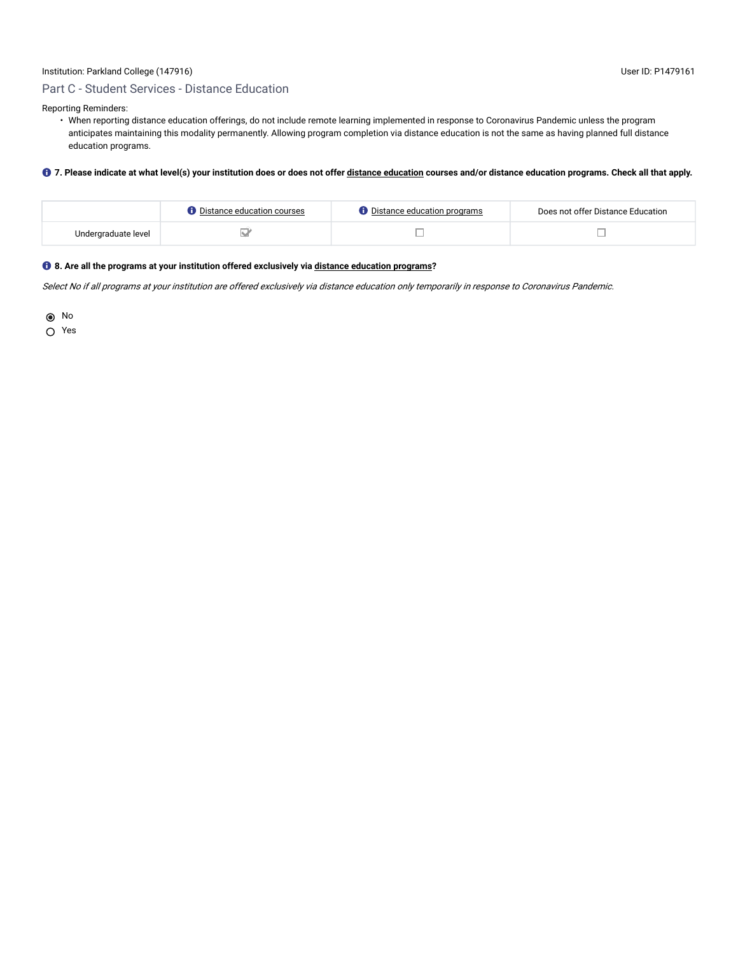## Part C - Student Services - Distance Education

Reporting Reminders:

• When reporting distance education offerings, do not include remote learning implemented in response to Coronavirus Pandemic unless the program anticipates maintaining this modality permanently. Allowing program completion via distance education is not the same as having planned full distance education programs.

### **7. Please indicate at what level(s) your institution does or does not offer distance education courses and/or distance education programs. Check all that apply.**

|                     | <b>D</b> Distance education courses | $\,\prime$ Distance education programs . | Does not offer Distance Education |
|---------------------|-------------------------------------|------------------------------------------|-----------------------------------|
| Undergraduate level |                                     |                                          |                                   |

#### **8.** Are all the programs at your institution offered exclusively via distance education programs?

Select No if all programs at your institution are offered exclusively via distance education only temporarily in response to Coronavirus Pandemic.

No and the contract of the contract of the contract of the contract of the contract of the contract of the contract of the contract of the contract of the contract of the contract of the contract of the contract of the con

Yes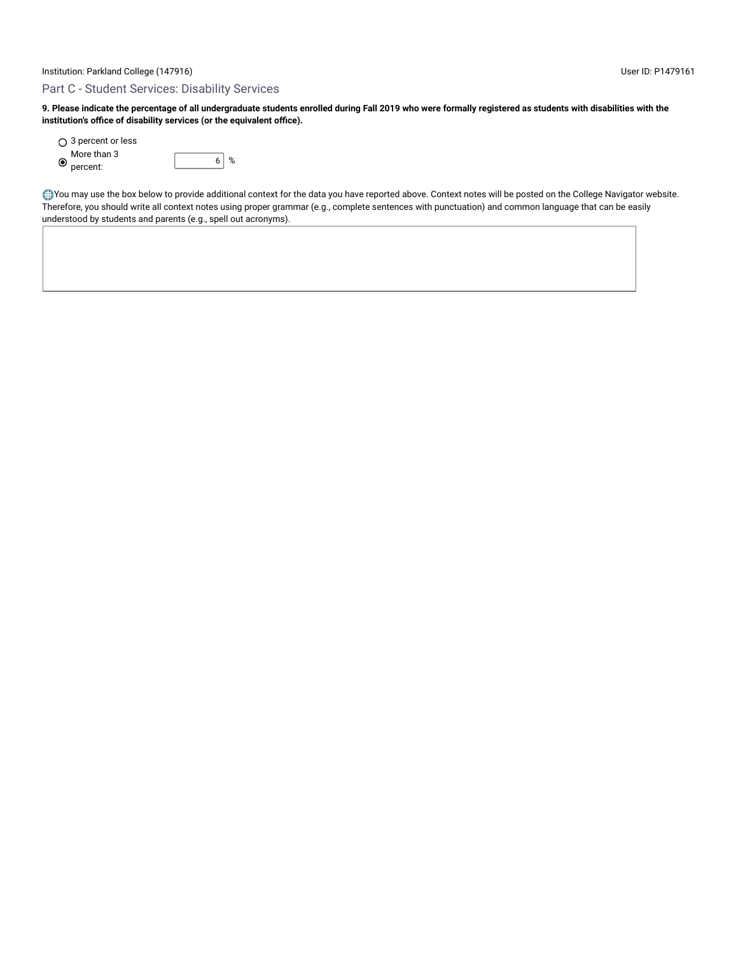## Part C - Student Services: Disability Services

**9. Please indicate the percentage of all undergraduate students enrolled during Fall 2019 who were formally registered as students with disabilities with the institution's office of disability services (or the equivalent office).**

|                | $\bigcirc$ 3 percent or less |   |  |
|----------------|------------------------------|---|--|
| $\circledcirc$ | More than 3                  | % |  |
|                | percent:                     |   |  |

You may use the box below to provide additional context for the data you have reported above. Context notes will be posted on the College Navigator website. Therefore, you should write all context notes using proper grammar (e.g., complete sentences with punctuation) and common language that can be easily understood by students and parents (e.g., spell out acronyms).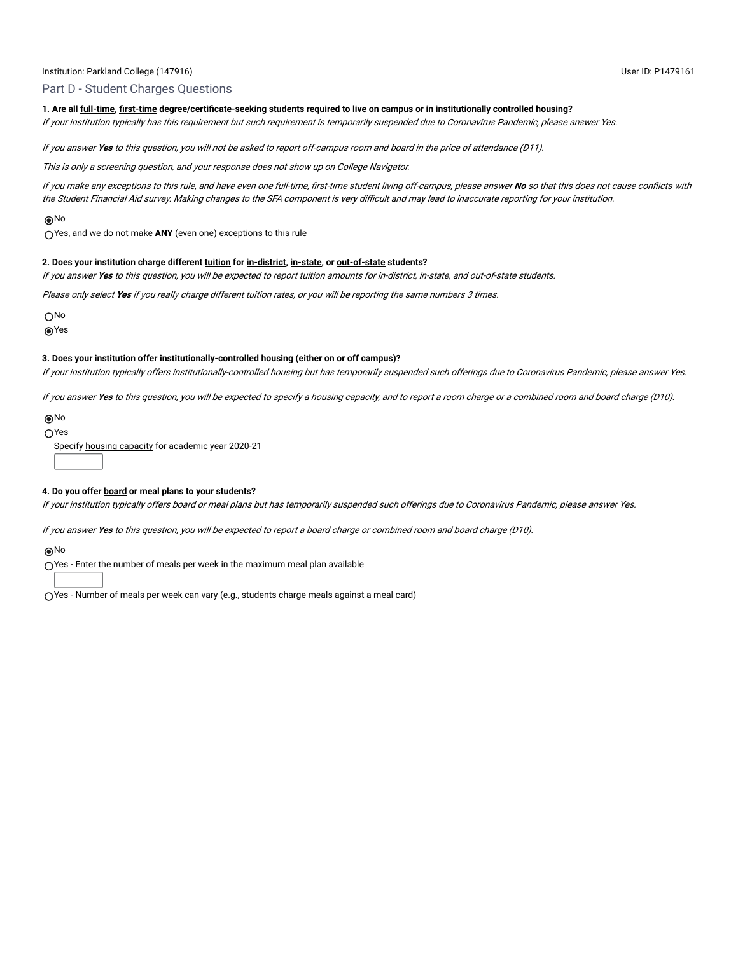## Part D - Student Charges Questions

#### **1. Are all full-time, first-time degree/certificate-seeking students required to live on campus or in institutionally controlled housing?**

If your institution typically has this requirement but such requirement is temporarily suspended due to Coronavirus Pandemic, please answer Yes.

If you answer **Yes** to this question, you will not be asked to report off-campus room and board in the price of attendance (D11).

This is only a screening question, and your response does not show up on College Navigator.

If you make any exceptions to this rule, and have even one full-time, first-time student living off-campus, please answer **No** so that this does not cause conflicts with the Student Financial Aid survey. Making changes to the SFA component is very difficult and may lead to inaccurate reporting for your institution.

#### No

Yes, and we do not make **ANY** (even one) exceptions to this rule

#### **2. Does your institution charge different tuition for in-district, in-state, or out-of-state students?**

If you answer **Yes** to this question, you will be expected to report tuition amounts for in-district, in-state, and out-of-state students.

Please only select **Yes** if you really charge different tuition rates, or you will be reporting the same numbers 3 times.

O<sub>No</sub>

Yes

#### **3. Does your institution offer institutionally-controlled housing (either on or off campus)?**

If your institution typically offers institutionally-controlled housing but has temporarily suspended such offerings due to Coronavirus Pandemic, please answer Yes.

If you answer **Yes** to this question, you will be expected to specify a housing capacity, and to report a room charge or a combined room and board charge (D10).

#### No

Yes

Specify housing capacity for academic year 2020-21

#### **4. Do you offer board or meal plans to your students?**

If your institution typically offers board or meal plans but has temporarily suspended such offerings due to Coronavirus Pandemic, please answer Yes.

If you answer **Yes** to this question, you will be expected to report a board charge or combined room and board charge (D10).

#### No

◯Yes - Enter the number of meals per week in the maximum meal plan available

Yes - Number of meals per week can vary (e.g., students charge meals against a meal card)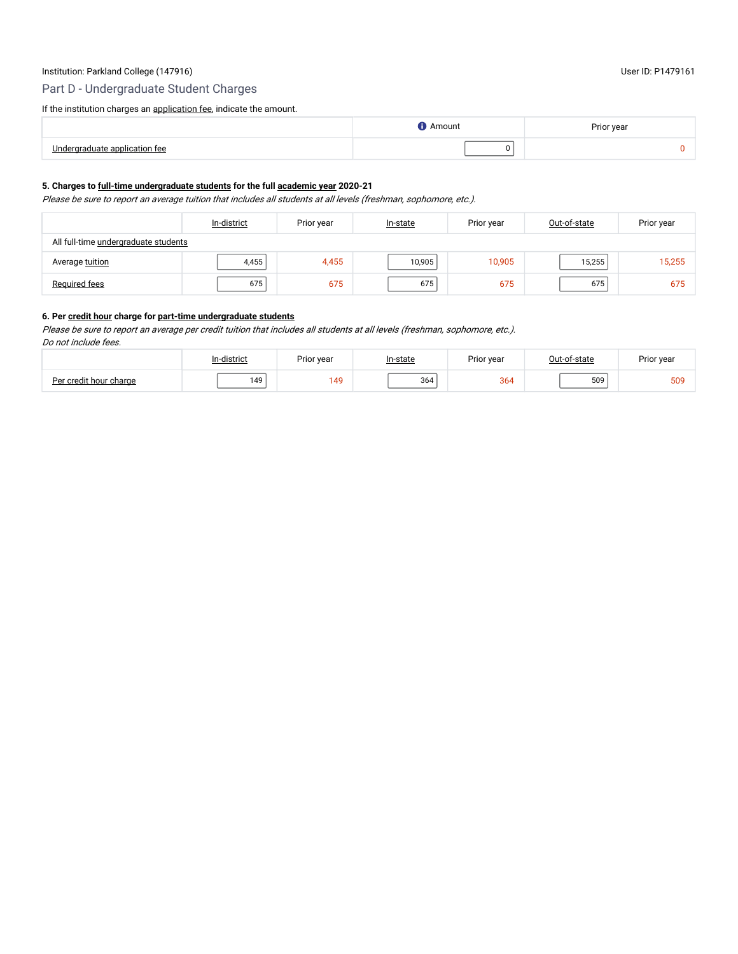## Part D - Undergraduate Student Charges

|                                | Amount | Prior year |
|--------------------------------|--------|------------|
| ، ۱۰ ا<br>a annlication<br>tee | 0      |            |

### **5. Charges to full-time undergraduate students for the full academic year 2020-21**

Please be sure to report an average tuition that includes all students at all levels (freshman, sophomore, etc.).

|                                      | In-district | Prior year | In-state | Prior year | Out-of-state | Prior year |
|--------------------------------------|-------------|------------|----------|------------|--------------|------------|
| All full-time undergraduate students |             |            |          |            |              |            |
| Average tuition                      | 4,455       | 4,455      | 10,905   | 10,905     | 15,255       | 15,255     |
| Required fees                        | 675         | 675        | 675      | 675        | 675          | 675        |

### **6. Per credit hour charge for part-time undergraduate students**

Please be sure to report an average per credit tuition that includes all students at all levels (freshman, sophomore, etc.).

| Do not include fees.                                                              |     |     |     |     |     |     |  |
|-----------------------------------------------------------------------------------|-----|-----|-----|-----|-----|-----|--|
| Prior year<br>Out-of-state<br>In-district<br>Prior year<br>Prior year<br>In-state |     |     |     |     |     |     |  |
| Per credit hour charge                                                            | 149 | 149 | 364 | 364 | 509 | 509 |  |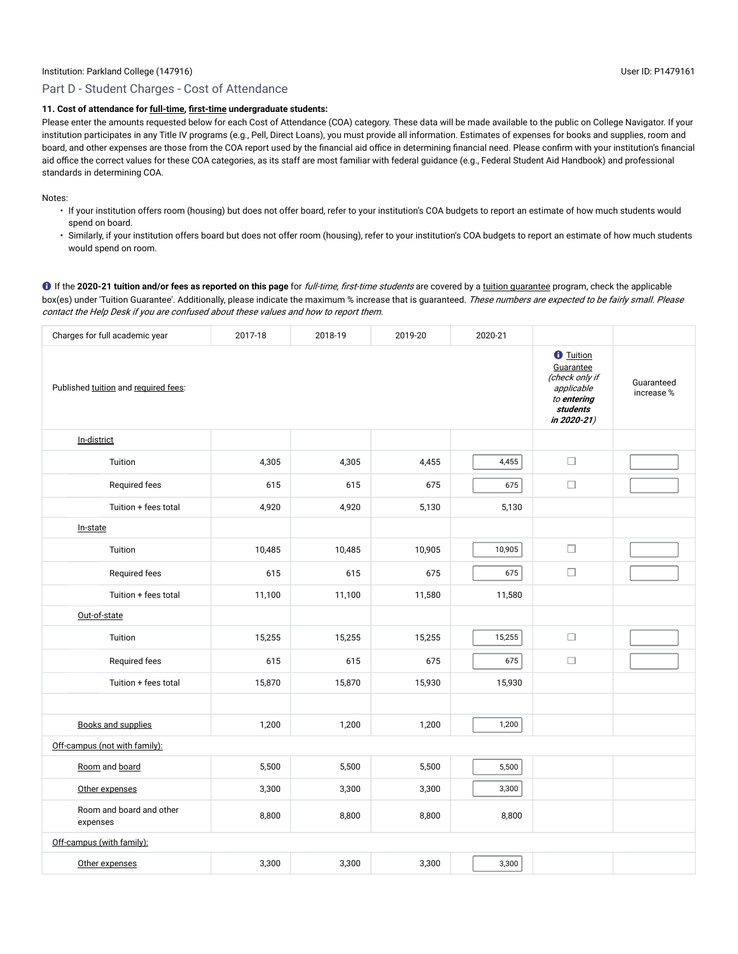## Part D - Student Charges - Cost of Attendance

#### **11. Cost of attendance for full-time, first-time undergraduate students:**

Please enter the amounts requested below for each Cost of Attendance (COA) category. These data will be made available to the public on College Navigator. If your institution participates in any Title IV programs (e.g., Pell, Direct Loans), you must provide all information. Estimates of expenses for books and supplies, room and board, and other expenses are those from the COA report used by the financial aid office in determining financial need. Please confirm with your institution's financial aid office the correct values for these COA categories, as its staff are most familiar with federal guidance (e.g., Federal Student Aid Handbook) and professional standards in determining COA.

#### Notes:

- If your institution offers room (housing) but does not offer board, refer to your institution's COA budgets to report an estimate of how much students would spend on board.
- Similarly, if your institution offers board but does not offer room (housing), refer to your institution's COA budgets to report an estimate of how much students would spend on room.

If the **2020-21 tuition and/or fees as reported on this page** for full-time, first-time students are covered by a tuition guarantee program, check the applicable box(es) under 'Tuition Guarantee'. Additionally, please indicate the maximum % increase that is guaranteed. These numbers are expected to be fairly small. Please contact the Help Desk if you are confused about these values and how to report them.

| Charges for full academic year       | 2017-18                                                                                                               | 2018-19                  | 2019-20 | 2020-21 |        |  |
|--------------------------------------|-----------------------------------------------------------------------------------------------------------------------|--------------------------|---------|---------|--------|--|
| Published tuition and required fees: | <b><i><u>O</u></i></b> Tuition<br>Guarantee<br>(check only if<br>applicable<br>to entering<br>students<br>in 2020-21) | Guaranteed<br>increase % |         |         |        |  |
| In-district                          |                                                                                                                       |                          |         |         |        |  |
| Tuition                              | 4,305                                                                                                                 | 4,305                    | 4,455   | 4,455   | $\Box$ |  |
| Required fees                        | 615                                                                                                                   | 615                      | 675     | 675     | $\Box$ |  |
| Tuition + fees total                 | 4,920                                                                                                                 | 4,920                    | 5,130   | 5,130   |        |  |
| In-state                             |                                                                                                                       |                          |         |         |        |  |
| Tuition                              | 10,485                                                                                                                | 10,485                   | 10,905  | 10,905  | $\Box$ |  |
| Required fees                        | 615                                                                                                                   | 615                      | 675     | 675     | $\Box$ |  |
| Tuition + fees total                 | 11,100                                                                                                                | 11,100                   | 11,580  | 11,580  |        |  |
| Out-of-state                         |                                                                                                                       |                          |         |         |        |  |
| Tuition                              | 15,255                                                                                                                | 15,255                   | 15,255  | 15,255  | $\Box$ |  |
| Required fees                        | 615                                                                                                                   | 615                      | 675     | 675     | $\Box$ |  |
| Tuition + fees total                 | 15,870                                                                                                                | 15,870                   | 15,930  | 15,930  |        |  |
|                                      |                                                                                                                       |                          |         |         |        |  |
| <b>Books and supplies</b>            | 1,200                                                                                                                 | 1,200                    | 1,200   | 1,200   |        |  |
| Off-campus (not with family):        |                                                                                                                       |                          |         |         |        |  |
| Room and board                       | 5,500                                                                                                                 | 5,500                    | 5,500   | 5,500   |        |  |
| Other expenses                       | 3,300                                                                                                                 | 3,300                    | 3,300   | 3,300   |        |  |
| Room and board and other<br>expenses | 8,800                                                                                                                 | 8,800                    | 8,800   | 8,800   |        |  |
| Off-campus (with family):            |                                                                                                                       |                          |         |         |        |  |
| Other expenses                       | 3,300                                                                                                                 | 3,300                    | 3,300   | 3,300   |        |  |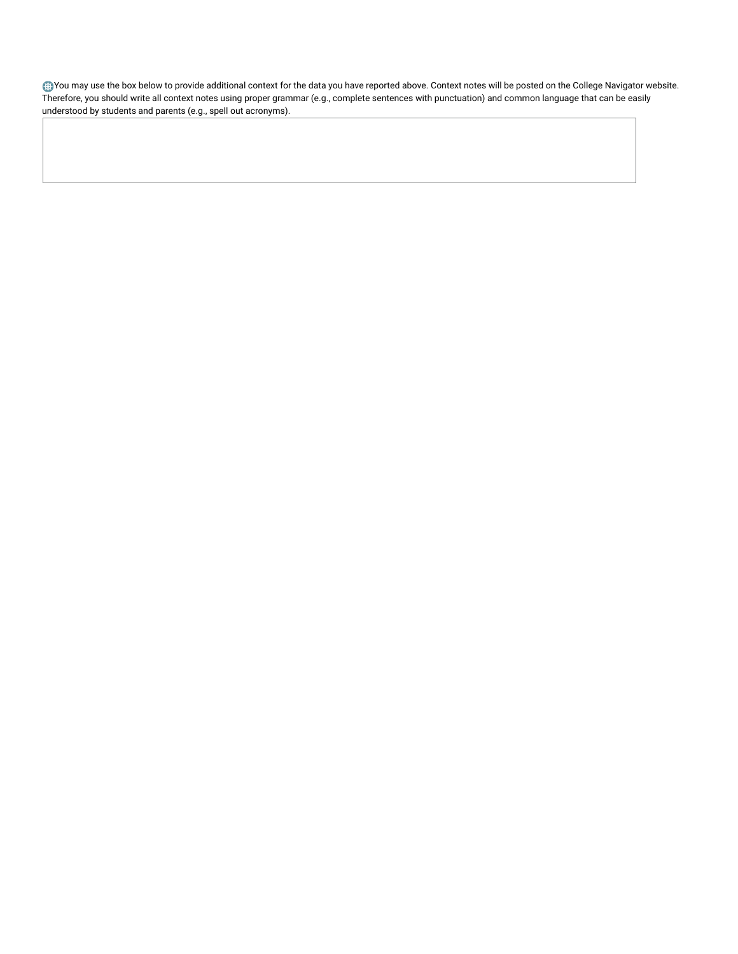You may use the box below to provide additional context for the data you have reported above. Context notes will be posted on the College Navigator website. Therefore, you should write all context notes using proper grammar (e.g., complete sentences with punctuation) and common language that can be easily understood by students and parents (e.g., spell out acronyms).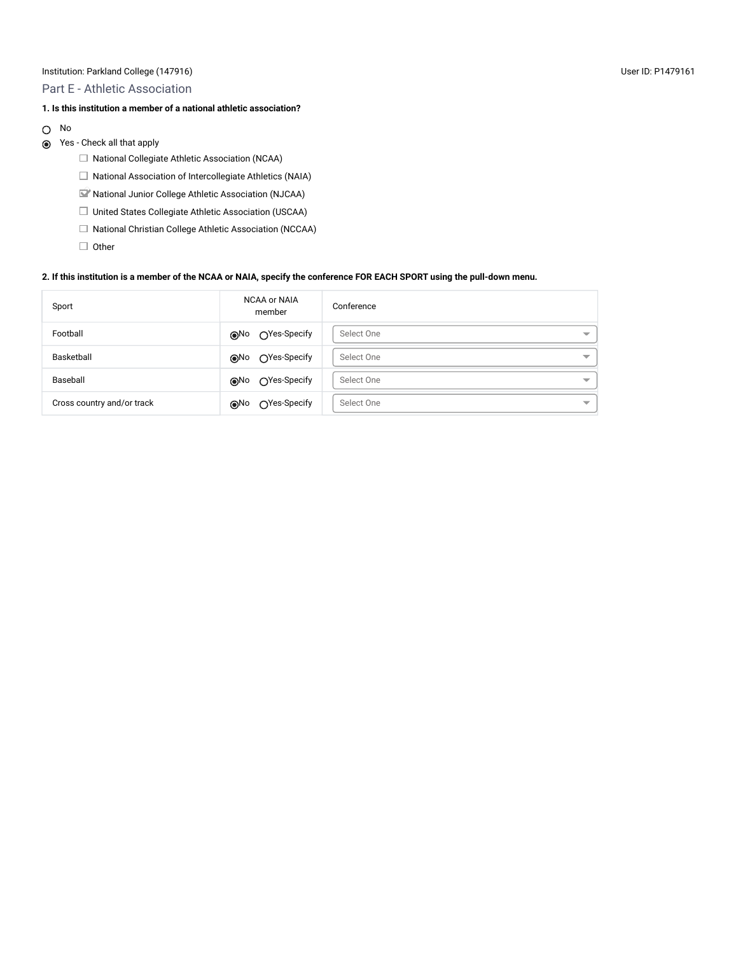Part E - Athletic Association

## **1. Is this institution a member of a national athletic association?**

No

## Yes - Check all that apply

- $\Box$  National Collegiate Athletic Association (NCAA)
- $\Box$  National Association of Intercollegiate Athletics (NAIA)
- National Junior College Athletic Association (NJCAA)
- United States Collegiate Athletic Association (USCAA)
- $\Box$  National Christian College Athletic Association (NCCAA)
- $\Box$  Other

#### **2. If this institution is a member of the NCAA or NAIA, specify the conference FOR EACH SPORT using the pull-down menu.**

| Sport                      | <b>NCAA or NAIA</b><br>member | Conference                             |  |  |
|----------------------------|-------------------------------|----------------------------------------|--|--|
| Football                   | no ∩Yes-Specify⊙              | Select One<br>$\overline{\phantom{0}}$ |  |  |
| Basketball                 | specify ONo Cypes-Specify     | Select One<br>$\overline{\phantom{a}}$ |  |  |
| Baseball                   | specify ONo Cypes-Specify     | Select One<br>$\overline{\phantom{a}}$ |  |  |
| Cross country and/or track | ○Yes-Specify<br>⊚No           | Select One<br>$\overline{\phantom{a}}$ |  |  |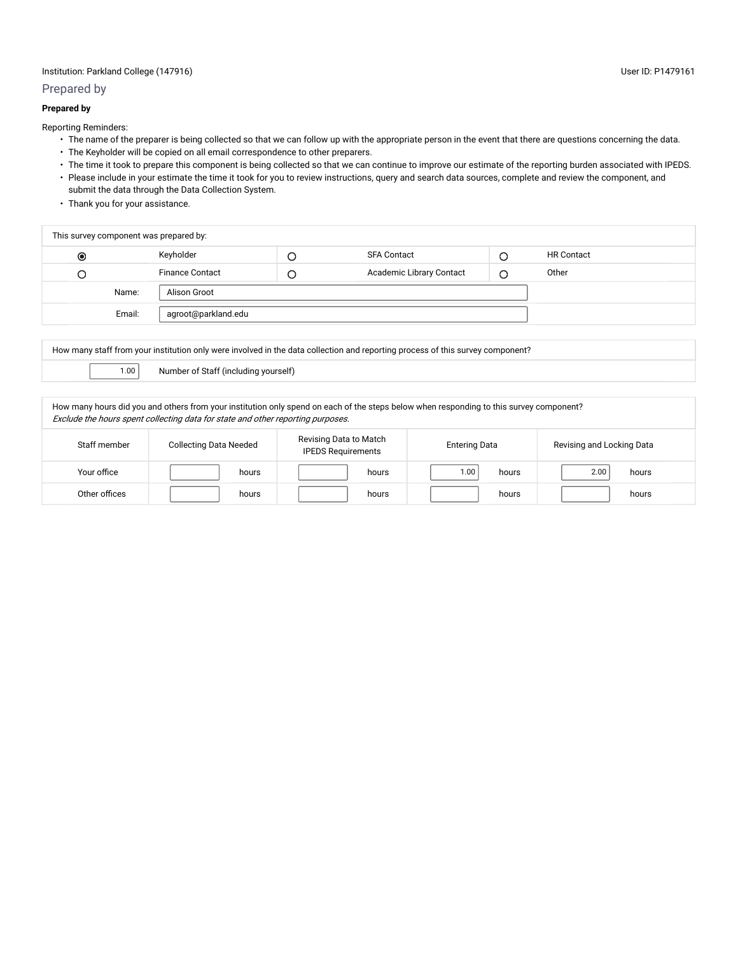## Prepared by

### **Prepared by**

Reporting Reminders:

- The name of the preparer is being collected so that we can follow up with the appropriate person in the event that there are questions concerning the data.
- The Keyholder will be copied on all email correspondence to other preparers.
- The time it took to prepare this component is being collected so that we can continue to improve our estimate of the reporting burden associated with IPEDS. • Please include in your estimate the time it took for you to review instructions, query and search data sources, complete and review the component, and submit the data through the Data Collection System.
- Thank you for your assistance.

| This survey component was prepared by: |                       |                        |  |                          |  |                   |
|----------------------------------------|-----------------------|------------------------|--|--------------------------|--|-------------------|
| $\bullet$                              |                       | Keyholder              |  | <b>SFA Contact</b>       |  | <b>HR Contact</b> |
| С                                      |                       | <b>Finance Contact</b> |  | Academic Library Contact |  | Other             |
|                                        | Name:<br>Alison Groot |                        |  |                          |  |                   |
| Email:<br>agroot@parkland.edu          |                       |                        |  |                          |  |                   |

| How many staff from your institution only were involved in the data collection and reporting process of this survey component?          |  |  |
|-----------------------------------------------------------------------------------------------------------------------------------------|--|--|
| Number of Staff (including yourself)<br>1.00                                                                                            |  |  |
|                                                                                                                                         |  |  |
| How many hours did you and others from your institution only spend on each of the steps below when responding to this survey component? |  |  |

| Exclude the hours spent collecting data for state and other reporting purposes. |                               |                                                     |                      |                           |  |  |  |
|---------------------------------------------------------------------------------|-------------------------------|-----------------------------------------------------|----------------------|---------------------------|--|--|--|
| Staff member                                                                    | <b>Collecting Data Needed</b> | Revising Data to Match<br><b>IPEDS Requirements</b> | <b>Entering Data</b> | Revising and Locking Data |  |  |  |
| Your office                                                                     | hours                         | hours                                               | 1.00<br>hours        | hours<br>2.00             |  |  |  |
| Other offices                                                                   | hours                         | hours                                               | hours                | hours                     |  |  |  |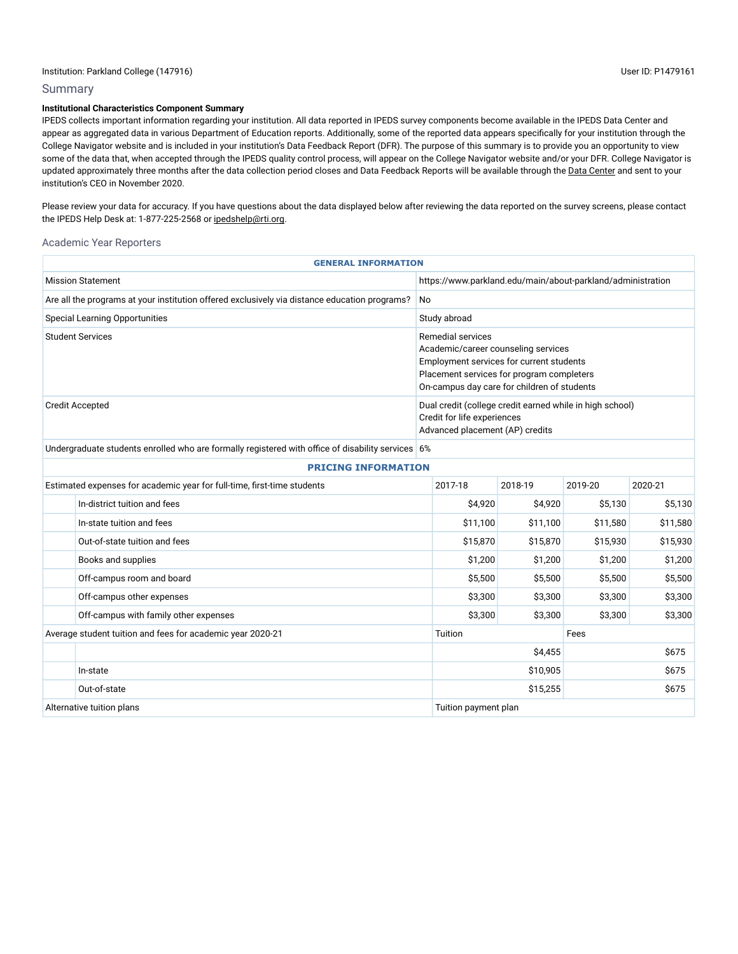#### Summary

## **Institutional Characteristics Component Summary**

IPEDS collects important information regarding your institution. All data reported in IPEDS survey components become available in the IPEDS Data Center and appear as aggregated data in various Department of Education reports. Additionally, some of the reported data appears specifically for your institution through the College Navigator website and is included in your institution's Data Feedback Report (DFR). The purpose of this summary is to provide you an opportunity to view some of the data that, when accepted through the IPEDS quality control process, will appear on the College Navigator website and/or your DFR. College Navigator is updated approximately three months after the data collection period closes and Data Feedback Reports will be available through the Data Center and sent to your institution's CEO in November 2020.

Please review your data for accuracy. If you have questions about the data displayed below after reviewing the data reported on the survey screens, please contact the IPEDS Help Desk at: 1-877-225-2568 or ipedshelp@rti.org.

#### Academic Year Reporters

|                                                            | <b>GENERAL INFORMATION</b>                                                                        |                   |                                                                                                                                                                                                         |                                                             |          |          |  |  |  |
|------------------------------------------------------------|---------------------------------------------------------------------------------------------------|-------------------|---------------------------------------------------------------------------------------------------------------------------------------------------------------------------------------------------------|-------------------------------------------------------------|----------|----------|--|--|--|
|                                                            | <b>Mission Statement</b>                                                                          |                   |                                                                                                                                                                                                         | https://www.parkland.edu/main/about-parkland/administration |          |          |  |  |  |
|                                                            | Are all the programs at your institution offered exclusively via distance education programs?     | <b>No</b>         |                                                                                                                                                                                                         |                                                             |          |          |  |  |  |
|                                                            | <b>Special Learning Opportunities</b>                                                             |                   | Study abroad                                                                                                                                                                                            |                                                             |          |          |  |  |  |
| <b>Student Services</b>                                    |                                                                                                   |                   | <b>Remedial services</b><br>Academic/career counseling services<br>Employment services for current students<br>Placement services for program completers<br>On-campus day care for children of students |                                                             |          |          |  |  |  |
| <b>Credit Accepted</b>                                     |                                                                                                   |                   | Dual credit (college credit earned while in high school)<br>Credit for life experiences<br>Advanced placement (AP) credits                                                                              |                                                             |          |          |  |  |  |
|                                                            | Undergraduate students enrolled who are formally registered with office of disability services 6% |                   |                                                                                                                                                                                                         |                                                             |          |          |  |  |  |
|                                                            | <b>PRICING INFORMATION</b>                                                                        |                   |                                                                                                                                                                                                         |                                                             |          |          |  |  |  |
|                                                            | Estimated expenses for academic year for full-time, first-time students                           |                   | 2017-18                                                                                                                                                                                                 | 2018-19                                                     | 2019-20  | 2020-21  |  |  |  |
|                                                            | In-district tuition and fees                                                                      |                   | \$4,920                                                                                                                                                                                                 | \$4,920                                                     | \$5,130  | \$5,130  |  |  |  |
|                                                            | In-state tuition and fees                                                                         |                   | \$11,100                                                                                                                                                                                                | \$11,100                                                    | \$11,580 | \$11,580 |  |  |  |
|                                                            | Out-of-state tuition and fees                                                                     |                   | \$15,870                                                                                                                                                                                                | \$15,870                                                    | \$15,930 | \$15,930 |  |  |  |
|                                                            | Books and supplies                                                                                |                   | \$1,200                                                                                                                                                                                                 | \$1,200                                                     | \$1,200  | \$1,200  |  |  |  |
|                                                            | Off-campus room and board                                                                         |                   | \$5,500                                                                                                                                                                                                 | \$5,500                                                     | \$5,500  | \$5,500  |  |  |  |
|                                                            | Off-campus other expenses                                                                         |                   | \$3,300                                                                                                                                                                                                 | \$3,300                                                     | \$3,300  | \$3,300  |  |  |  |
|                                                            | Off-campus with family other expenses                                                             |                   | \$3,300                                                                                                                                                                                                 | \$3,300                                                     | \$3,300  | \$3,300  |  |  |  |
| Average student tuition and fees for academic year 2020-21 |                                                                                                   | Tuition           |                                                                                                                                                                                                         | Fees                                                        |          |          |  |  |  |
|                                                            |                                                                                                   |                   |                                                                                                                                                                                                         | \$4,455                                                     |          | \$675    |  |  |  |
| In-state                                                   |                                                                                                   | \$10,905          |                                                                                                                                                                                                         |                                                             |          | \$675    |  |  |  |
|                                                            | Out-of-state                                                                                      | \$15,255<br>\$675 |                                                                                                                                                                                                         |                                                             |          |          |  |  |  |
|                                                            | Alternative tuition plans                                                                         |                   |                                                                                                                                                                                                         | Tuition payment plan                                        |          |          |  |  |  |